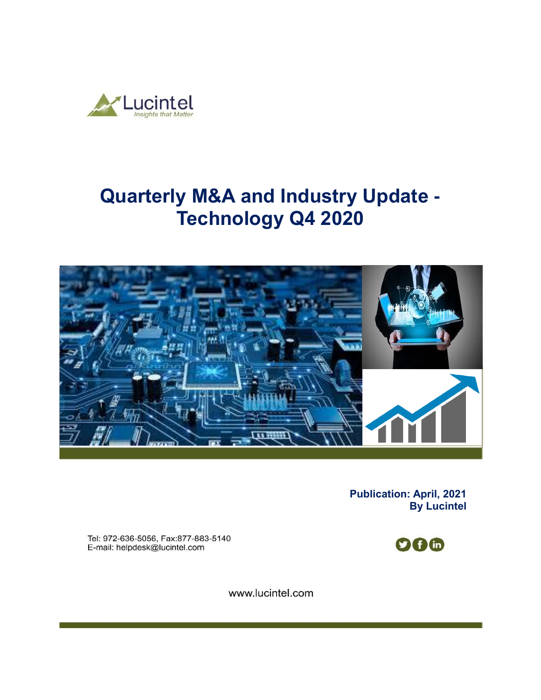

# **Quarterly M&A and Industry Update - Technology Q4 2020**



**Publication: April, 2021 By Lucintel** 

Tel: 972-636-5056, Fax:877-883-5140 E-mail: helpdesk@lucintel.com



www.lucintel.com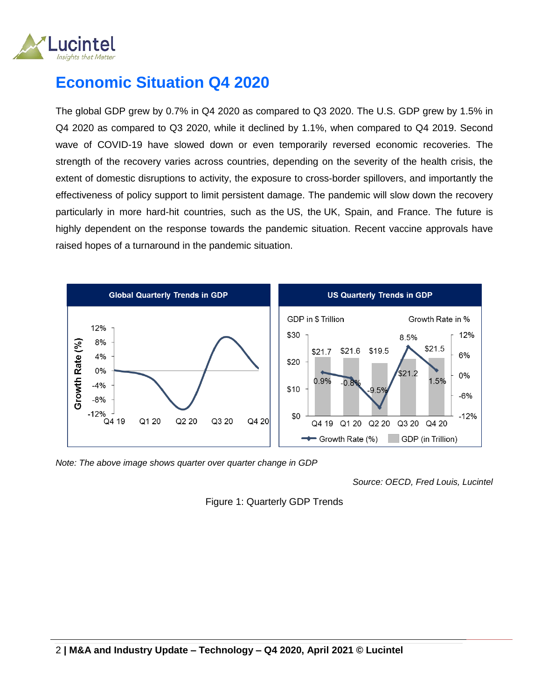

## **Economic Situation Q4 2020**

The global GDP grew by 0.7% in Q4 2020 as compared to Q3 2020. The U.S. GDP grew by 1.5% in Q4 2020 as compared to Q3 2020, while it declined by 1.1%, when compared to Q4 2019. Second wave of COVID-19 have slowed down or even temporarily reversed economic recoveries. The strength of the recovery varies across countries, depending on the severity of the health crisis, the extent of domestic disruptions to activity, the exposure to cross-border spillovers, and importantly the effectiveness of policy support to limit persistent damage. The pandemic will slow down the recovery particularly in more hard-hit countries, such as the US, the UK, Spain, and France. The future is highly dependent on the response towards the pandemic situation. Recent vaccine approvals have raised hopes of a turnaround in the pandemic situation.



*Note: The above image shows quarter over quarter change in GDP* 

*Source: OECD, Fred Louis, Lucintel*

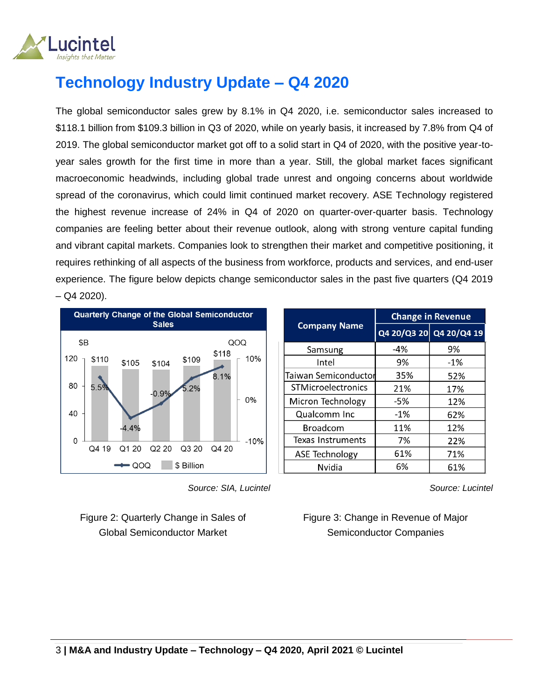

# **Technology Industry Update – Q4 2020**

The global semiconductor sales grew by 8.1% in Q4 2020, i.e. semiconductor sales increased to \$118.1 billion from \$109.3 billion in Q3 of 2020, while on yearly basis, it increased by 7.8% from Q4 of 2019. The global semiconductor market got off to a solid start in Q4 of 2020, with the positive year-toyear sales growth for the first time in more than a year. Still, the global market faces significant macroeconomic headwinds, including global trade unrest and ongoing concerns about worldwide spread of the coronavirus, which could limit continued market recovery. ASE Technology registered the highest revenue increase of 24% in Q4 of 2020 on quarter-over-quarter basis. Technology companies are feeling better about their revenue outlook, along with strong venture capital funding and vibrant capital markets. Companies look to strengthen their market and competitive positioning, it requires rethinking of all aspects of the business from workforce, products and services, and end-user experience. The figure below depicts change semiconductor sales in the past five quarters (Q4 2019  $-$  Q4 2020).



|                          | Change in Revenue |                         |  |
|--------------------------|-------------------|-------------------------|--|
| <b>Company Name</b>      |                   | Q4 20/Q3 20 Q4 20/Q4 19 |  |
| Samsung                  | $-4%$             | 9%                      |  |
| Intel                    | 9%                | -1%                     |  |
| Taiwan Semiconductor     | 35%               | 52%                     |  |
| STMicroelectronics       | 21%               | 17%                     |  |
| Micron Technology        | -5%               | 12%                     |  |
| Qualcomm Inc             | $-1%$             | 62%                     |  |
| <b>Broadcom</b>          | 11%               | 12%                     |  |
| <b>Texas Instruments</b> | 7%                | 22%                     |  |
| <b>ASE Technology</b>    | 61%               | 71%                     |  |
| Nvidia                   | 6%                | 61%                     |  |

 *Source: SIA, Lucintel*

Figure 2: Quarterly Change in Sales of Global Semiconductor Market

*Source: Lucintel*

Figure 3: Change in Revenue of Major Semiconductor Companies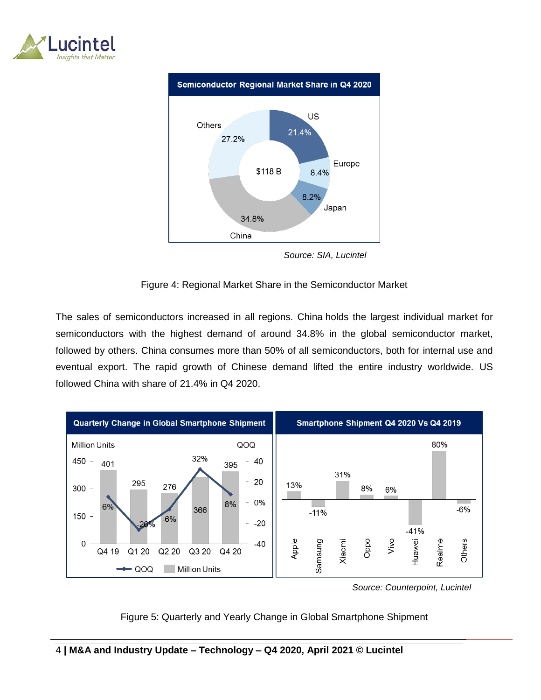



 *Source: SIA, Lucintel*

#### Figure 4: Regional Market Share in the Semiconductor Market

The sales of semiconductors increased in all regions. China holds the largest individual market for semiconductors with the highest demand of around 34.8% in the global semiconductor market, followed by others. China consumes more than 50% of all semiconductors, both for internal use and eventual export. The rapid growth of Chinese demand lifted the entire industry worldwide. US followed China with share of 21.4% in Q4 2020.



 *Source: Counterpoint, Lucintel*

#### Figure 5: Quarterly and Yearly Change in Global Smartphone Shipment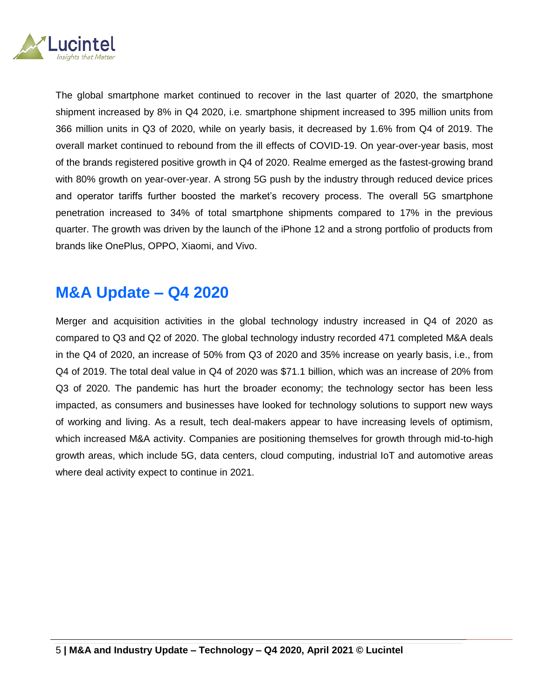

The global smartphone market continued to recover in the last quarter of 2020, the smartphone shipment increased by 8% in Q4 2020, i.e. smartphone shipment increased to 395 million units from 366 million units in Q3 of 2020, while on yearly basis, it decreased by 1.6% from Q4 of 2019. The overall market continued to rebound from the ill effects of COVID-19. On year-over-year basis, most of the brands registered positive growth in Q4 of 2020. Realme emerged as the fastest-growing brand with 80% growth on year-over-year. A strong 5G push by the industry through reduced device prices and operator tariffs further boosted the market's recovery process. The overall 5G smartphone penetration increased to 34% of total smartphone shipments compared to 17% in the previous quarter. The growth was driven by the launch of the iPhone 12 and a strong portfolio of products from brands like OnePlus, OPPO, Xiaomi, and Vivo.

### **M&A Update – Q4 2020**

Merger and acquisition activities in the global technology industry increased in Q4 of 2020 as compared to Q3 and Q2 of 2020. The global technology industry recorded 471 completed M&A deals in the Q4 of 2020, an increase of 50% from Q3 of 2020 and 35% increase on yearly basis, i.e., from Q4 of 2019. The total deal value in Q4 of 2020 was \$71.1 billion, which was an increase of 20% from Q3 of 2020. The pandemic has hurt the broader economy; the technology sector has been less impacted, as consumers and businesses have looked for technology solutions to support new ways of working and living. As a result, tech deal-makers appear to have increasing levels of optimism, which increased M&A activity. Companies are positioning themselves for growth through mid-to-high growth areas, which include 5G, data centers, cloud computing, industrial IoT and automotive areas where deal activity expect to continue in 2021.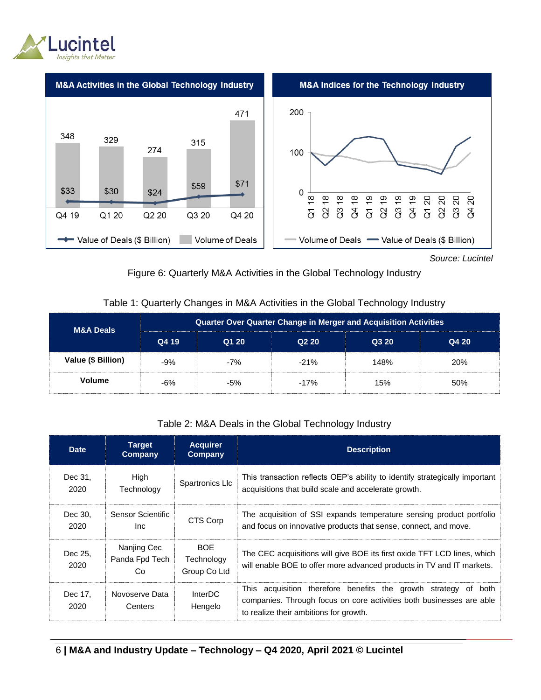



*Source: Lucintel*

#### Figure 6: Quarterly M&A Activities in the Global Technology Industry

#### Table 1: Quarterly Changes in M&A Activities in the Global Technology Industry

| <b>M&amp;A Deals</b> | Quarter Over Quarter Change in Merger and Acquisition Activities |       |                   |       |       |  |
|----------------------|------------------------------------------------------------------|-------|-------------------|-------|-------|--|
|                      | Q4 19                                                            | Q1 20 | Q <sub>2</sub> 20 | Q3 20 | Q4 20 |  |
| Value (\$ Billion)   | $-9%$                                                            | $-7%$ | $-21%$            | 148%  | 20%   |  |
| <b>Volume</b>        | -6%                                                              | $-5%$ | $-17%$            | 15%   | 50%   |  |

#### Table 2: M&A Deals in the Global Technology Industry

| <b>Date</b>     | Tarqet<br>Company                    | <b>Acquirer</b><br>Company               | <b>Description</b>                                                                                                                                                                |
|-----------------|--------------------------------------|------------------------------------------|-----------------------------------------------------------------------------------------------------------------------------------------------------------------------------------|
| Dec 31,<br>2020 | High<br>Technology                   | Spartronics Llc                          | This transaction reflects OEP's ability to identify strategically important<br>acquisitions that build scale and accelerate growth.                                               |
| Dec 30.<br>2020 | Sensor Scientific<br>Inc.            | CTS Corp                                 | The acquisition of SSI expands temperature sensing product portfolio<br>and focus on innovative products that sense, connect, and move.                                           |
| Dec 25,<br>2020 | Nanjing Cec<br>Panda Fpd Tech<br>Co. | <b>BOE</b><br>Technology<br>Group Co Ltd | The CEC acquisitions will give BOE its first oxide TFT LCD lines, which<br>will enable BOE to offer more advanced products in TV and IT markets.                                  |
| Dec 17,<br>2020 | Novoserve Data<br>Centers            | <b>InterDC</b><br>Hengelo                | This acquisition therefore benefits the growth strategy of both<br>companies. Through focus on core activities both businesses are able<br>to realize their ambitions for growth. |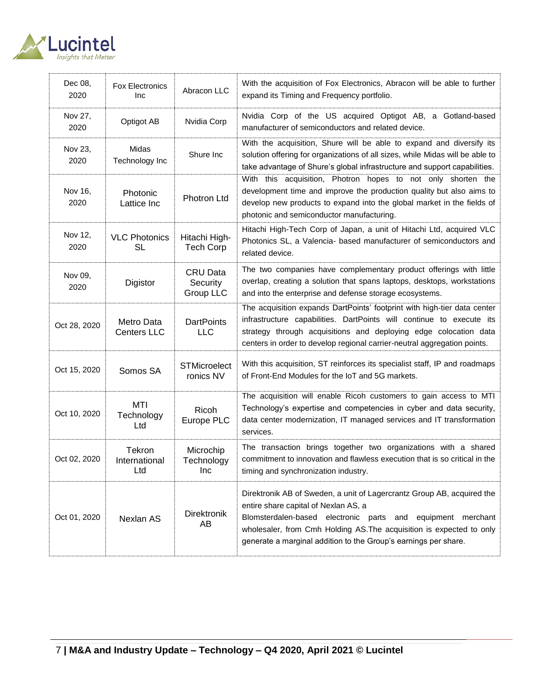

| Dec 08,<br>2020 | <b>Fox Electronics</b><br>Inc    | Abracon LLC                              | With the acquisition of Fox Electronics, Abracon will be able to further<br>expand its Timing and Frequency portfolio.                                                                                                                                                                                                   |
|-----------------|----------------------------------|------------------------------------------|--------------------------------------------------------------------------------------------------------------------------------------------------------------------------------------------------------------------------------------------------------------------------------------------------------------------------|
| Nov 27,<br>2020 | Optigot AB                       | Nvidia Corp                              | Nvidia Corp of the US acquired Optigot AB, a Gotland-based<br>manufacturer of semiconductors and related device.                                                                                                                                                                                                         |
| Nov 23,<br>2020 | Midas<br>Technology Inc          | Shure Inc                                | With the acquisition, Shure will be able to expand and diversify its<br>solution offering for organizations of all sizes, while Midas will be able to<br>take advantage of Shure's global infrastructure and support capabilities.                                                                                       |
| Nov 16,<br>2020 | Photonic<br>Lattice Inc          | Photron Ltd                              | With this acquisition, Photron hopes to not only shorten the<br>development time and improve the production quality but also aims to<br>develop new products to expand into the global market in the fields of<br>photonic and semiconductor manufacturing.                                                              |
| Nov 12,<br>2020 | <b>VLC Photonics</b><br>SL       | Hitachi High-<br><b>Tech Corp</b>        | Hitachi High-Tech Corp of Japan, a unit of Hitachi Ltd, acquired VLC<br>Photonics SL, a Valencia- based manufacturer of semiconductors and<br>related device.                                                                                                                                                            |
| Nov 09,<br>2020 | Digistor                         | <b>CRU Data</b><br>Security<br>Group LLC | The two companies have complementary product offerings with little<br>overlap, creating a solution that spans laptops, desktops, workstations<br>and into the enterprise and defense storage ecosystems.                                                                                                                 |
| Oct 28, 2020    | Metro Data<br><b>Centers LLC</b> | <b>DartPoints</b><br><b>LLC</b>          | The acquisition expands DartPoints' footprint with high-tier data center<br>infrastructure capabilities. DartPoints will continue to execute its<br>strategy through acquisitions and deploying edge colocation data<br>centers in order to develop regional carrier-neutral aggregation points.                         |
| Oct 15, 2020    | Somos SA                         | <b>STMicroelect</b><br>ronics NV         | With this acquisition, ST reinforces its specialist staff, IP and roadmaps<br>of Front-End Modules for the IoT and 5G markets.                                                                                                                                                                                           |
| Oct 10, 2020    | MTI<br>Technology<br>Ltd         | Ricoh<br>Europe PLC                      | The acquisition will enable Ricoh customers to gain access to MTI<br>Technology's expertise and competencies in cyber and data security,<br>data center modernization, IT managed services and IT transformation<br>services.                                                                                            |
| Oct 02, 2020    | Tekron<br>International<br>Ltd   | Microchip<br>Technology<br>Inc           | The transaction brings together two organizations with a shared<br>commitment to innovation and flawless execution that is so critical in the<br>timing and synchronization industry.                                                                                                                                    |
| Oct 01, 2020    | Nexlan AS                        | <b>Direktronik</b><br>AB                 | Direktronik AB of Sweden, a unit of Lagercrantz Group AB, acquired the<br>entire share capital of Nexlan AS, a<br>Blomsterdalen-based electronic parts and equipment merchant<br>wholesaler, from Cmh Holding AS. The acquisition is expected to only<br>generate a marginal addition to the Group's earnings per share. |